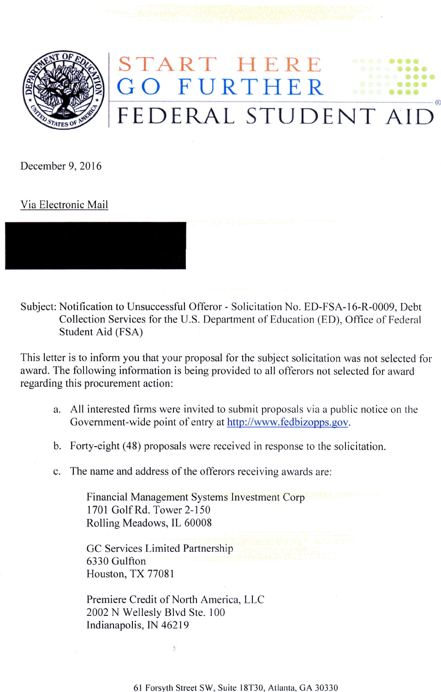

## START HE GO FEDERAL STUDENT AI  $\overline{\mathrm{E}}$ R  $\boldsymbol{\mathsf{K}}$ E

December 9,2016

Via Electronic Mail

Subject: Notification to Unsuccessful Offeror - Solicitation No. ED-FSA-16-R-0009, Debt Collection Services for the U.S. Department of Education (ED), Office of Federal Student Aid (FSA)

This letter is to inform you that your proposal for the subject solicitation was not selected for award. The following information is being provided to all offerors not selected for award regarding this procurement action:

- All interested firms were invited to submit proposals via a public notice on the Government-wide point of entry at http://www.fedbizopps.gov.
- Forty-eight (48) proposals were received in response to the solicitation. b.
- c. The name and address of the offerors receiving awards are:

Financial Management Systems Investment Corp 1701 Golf Rd. Tower 2-150 Rolling Meadows, IL 60008

GC Services Limited Partnership 6330 Gulfton Houston, TX 77081

Premiere Credit of North America, LLC 2002 N Wellesly Blvd Ste. 100 Indianapolis, IN 46219